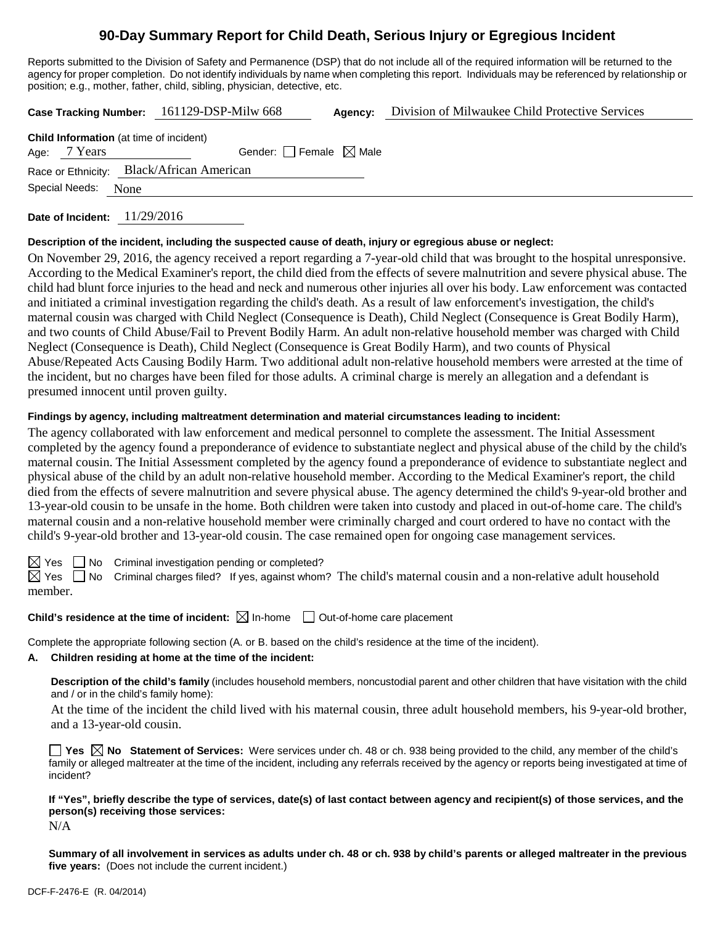# **90-Day Summary Report for Child Death, Serious Injury or Egregious Incident**

Reports submitted to the Division of Safety and Permanence (DSP) that do not include all of the required information will be returned to the agency for proper completion. Do not identify individuals by name when completing this report. Individuals may be referenced by relationship or position; e.g., mother, father, child, sibling, physician, detective, etc.

**Case Tracking Number:** 161129-DSP-Milw 668 **Agency:** Division of Milwaukee Child Protective Services

|                |                | <b>Child Information</b> (at time of incident) |
|----------------|----------------|------------------------------------------------|
|                | Age: $7$ Years | Gender: Female $\boxtimes$ Male                |
|                |                | Race or Ethnicity: Black/African American      |
| Special Needs: |                | None                                           |
|                |                |                                                |

**Date of Incident:** 11/29/2016

### **Description of the incident, including the suspected cause of death, injury or egregious abuse or neglect:**

On November 29, 2016, the agency received a report regarding a 7-year-old child that was brought to the hospital unresponsive. According to the Medical Examiner's report, the child died from the effects of severe malnutrition and severe physical abuse. The child had blunt force injuries to the head and neck and numerous other injuries all over his body. Law enforcement was contacted and initiated a criminal investigation regarding the child's death. As a result of law enforcement's investigation, the child's maternal cousin was charged with Child Neglect (Consequence is Death), Child Neglect (Consequence is Great Bodily Harm), and two counts of Child Abuse/Fail to Prevent Bodily Harm. An adult non-relative household member was charged with Child Neglect (Consequence is Death), Child Neglect (Consequence is Great Bodily Harm), and two counts of Physical Abuse/Repeated Acts Causing Bodily Harm. Two additional adult non-relative household members were arrested at the time of the incident, but no charges have been filed for those adults. A criminal charge is merely an allegation and a defendant is presumed innocent until proven guilty.

## **Findings by agency, including maltreatment determination and material circumstances leading to incident:**

The agency collaborated with law enforcement and medical personnel to complete the assessment. The Initial Assessment completed by the agency found a preponderance of evidence to substantiate neglect and physical abuse of the child by the child's maternal cousin. The Initial Assessment completed by the agency found a preponderance of evidence to substantiate neglect and physical abuse of the child by an adult non-relative household member. According to the Medical Examiner's report, the child died from the effects of severe malnutrition and severe physical abuse. The agency determined the child's 9-year-old brother and 13-year-old cousin to be unsafe in the home. Both children were taken into custody and placed in out-of-home care. The child's maternal cousin and a non-relative household member were criminally charged and court ordered to have no contact with the child's 9-year-old brother and 13-year-old cousin. The case remained open for ongoing case management services.

 $\boxtimes$  Yes  $\Box$  No Criminal investigation pending or completed?

 $\boxtimes$  Yes  $\Box$  No Criminal charges filed? If yes, against whom? The child's maternal cousin and a non-relative adult household member.

## **Child's residence at the time of incident:**  $\boxtimes$  In-home  $\Box$  Out-of-home care placement

Complete the appropriate following section (A. or B. based on the child's residence at the time of the incident).

## **A. Children residing at home at the time of the incident:**

**Description of the child's family** (includes household members, noncustodial parent and other children that have visitation with the child and / or in the child's family home):

At the time of the incident the child lived with his maternal cousin, three adult household members, his 9-year-old brother, and a 13-year-old cousin.

**Yes No Statement of Services:** Were services under ch. 48 or ch. 938 being provided to the child, any member of the child's family or alleged maltreater at the time of the incident, including any referrals received by the agency or reports being investigated at time of incident?

# **If "Yes", briefly describe the type of services, date(s) of last contact between agency and recipient(s) of those services, and the person(s) receiving those services:**

N/A

**Summary of all involvement in services as adults under ch. 48 or ch. 938 by child's parents or alleged maltreater in the previous five years:** (Does not include the current incident.)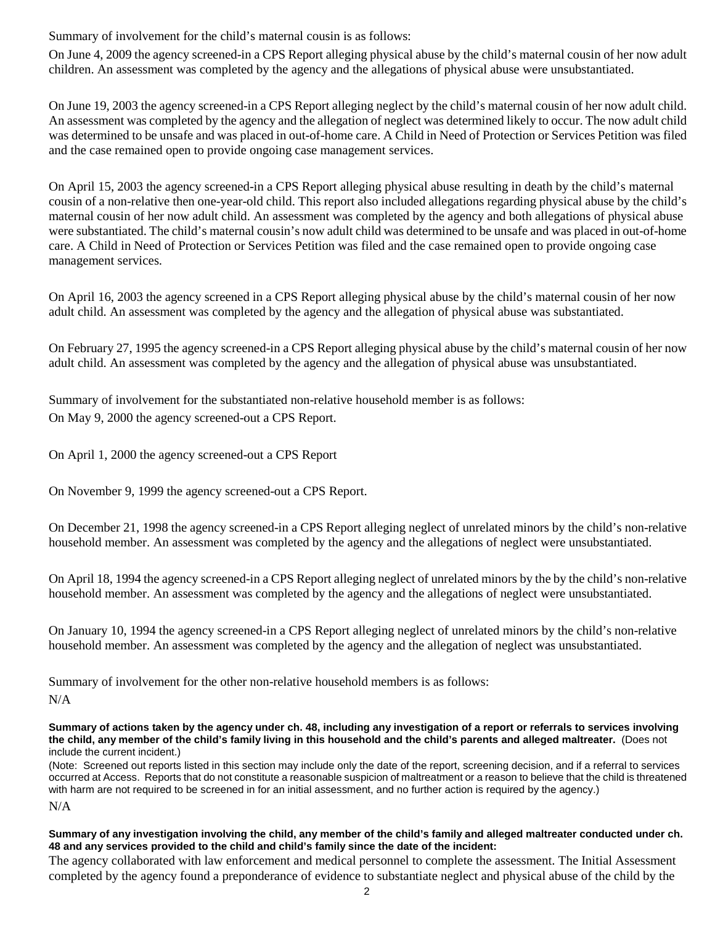Summary of involvement for the child's maternal cousin is as follows:

On June 4, 2009 the agency screened-in a CPS Report alleging physical abuse by the child's maternal cousin of her now adult children. An assessment was completed by the agency and the allegations of physical abuse were unsubstantiated.

On June 19, 2003 the agency screened-in a CPS Report alleging neglect by the child's maternal cousin of her now adult child. An assessment was completed by the agency and the allegation of neglect was determined likely to occur. The now adult child was determined to be unsafe and was placed in out-of-home care. A Child in Need of Protection or Services Petition was filed and the case remained open to provide ongoing case management services.

On April 15, 2003 the agency screened-in a CPS Report alleging physical abuse resulting in death by the child's maternal cousin of a non-relative then one-year-old child. This report also included allegations regarding physical abuse by the child's maternal cousin of her now adult child. An assessment was completed by the agency and both allegations of physical abuse were substantiated. The child's maternal cousin's now adult child was determined to be unsafe and was placed in out-of-home care. A Child in Need of Protection or Services Petition was filed and the case remained open to provide ongoing case management services.

On April 16, 2003 the agency screened in a CPS Report alleging physical abuse by the child's maternal cousin of her now adult child. An assessment was completed by the agency and the allegation of physical abuse was substantiated.

On February 27, 1995 the agency screened-in a CPS Report alleging physical abuse by the child's maternal cousin of her now adult child. An assessment was completed by the agency and the allegation of physical abuse was unsubstantiated.

Summary of involvement for the substantiated non-relative household member is as follows: On May 9, 2000 the agency screened-out a CPS Report.

On April 1, 2000 the agency screened-out a CPS Report

On November 9, 1999 the agency screened-out a CPS Report.

On December 21, 1998 the agency screened-in a CPS Report alleging neglect of unrelated minors by the child's non-relative household member. An assessment was completed by the agency and the allegations of neglect were unsubstantiated.

On April 18, 1994 the agency screened-in a CPS Report alleging neglect of unrelated minors by the by the child's non-relative household member. An assessment was completed by the agency and the allegations of neglect were unsubstantiated.

On January 10, 1994 the agency screened-in a CPS Report alleging neglect of unrelated minors by the child's non-relative household member. An assessment was completed by the agency and the allegation of neglect was unsubstantiated.

Summary of involvement for the other non-relative household members is as follows:

N/A

**Summary of actions taken by the agency under ch. 48, including any investigation of a report or referrals to services involving the child, any member of the child's family living in this household and the child's parents and alleged maltreater.** (Does not include the current incident.)

(Note: Screened out reports listed in this section may include only the date of the report, screening decision, and if a referral to services occurred at Access. Reports that do not constitute a reasonable suspicion of maltreatment or a reason to believe that the child is threatened with harm are not required to be screened in for an initial assessment, and no further action is required by the agency.)

N/A

## **Summary of any investigation involving the child, any member of the child's family and alleged maltreater conducted under ch. 48 and any services provided to the child and child's family since the date of the incident:**

The agency collaborated with law enforcement and medical personnel to complete the assessment. The Initial Assessment completed by the agency found a preponderance of evidence to substantiate neglect and physical abuse of the child by the